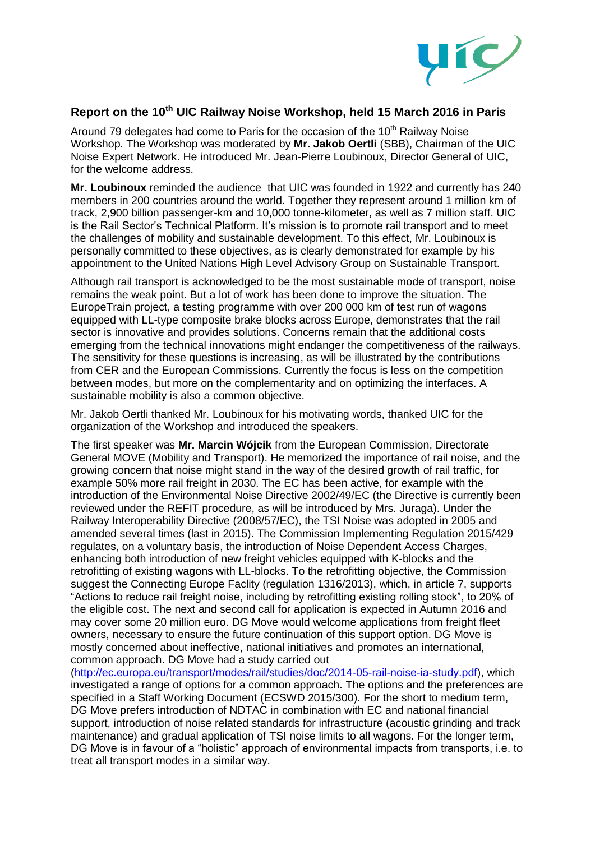

## **Report on the 10th UIC Railway Noise Workshop, held 15 March 2016 in Paris**

Around 79 delegates had come to Paris for the occasion of the 10<sup>th</sup> Railway Noise Workshop. The Workshop was moderated by **Mr. Jakob Oertli** (SBB), Chairman of the UIC Noise Expert Network. He introduced Mr. Jean-Pierre Loubinoux, Director General of UIC, for the welcome address.

**Mr. Loubinoux** reminded the audience that UIC was founded in 1922 and currently has 240 members in 200 countries around the world. Together they represent around 1 million km of track, 2,900 billion passenger-km and 10,000 tonne-kilometer, as well as 7 million staff. UIC is the Rail Sector's Technical Platform. It's mission is to promote rail transport and to meet the challenges of mobility and sustainable development. To this effect, Mr. Loubinoux is personally committed to these objectives, as is clearly demonstrated for example by his appointment to the United Nations High Level Advisory Group on Sustainable Transport.

Although rail transport is acknowledged to be the most sustainable mode of transport, noise remains the weak point. But a lot of work has been done to improve the situation. The EuropeTrain project, a testing programme with over 200 000 km of test run of wagons equipped with LL-type composite brake blocks across Europe, demonstrates that the rail sector is innovative and provides solutions. Concerns remain that the additional costs emerging from the technical innovations might endanger the competitiveness of the railways. The sensitivity for these questions is increasing, as will be illustrated by the contributions from CER and the European Commissions. Currently the focus is less on the competition between modes, but more on the complementarity and on optimizing the interfaces. A sustainable mobility is also a common objective.

Mr. Jakob Oertli thanked Mr. Loubinoux for his motivating words, thanked UIC for the organization of the Workshop and introduced the speakers.

The first speaker was **Mr. Marcin Wójcik** from the European Commission, Directorate General MOVE (Mobility and Transport). He memorized the importance of rail noise, and the growing concern that noise might stand in the way of the desired growth of rail traffic, for example 50% more rail freight in 2030. The EC has been active, for example with the introduction of the Environmental Noise Directive 2002/49/EC (the Directive is currently been reviewed under the REFIT procedure, as will be introduced by Mrs. Juraga). Under the Railway Interoperability Directive (2008/57/EC), the TSI Noise was adopted in 2005 and amended several times (last in 2015). The Commission Implementing Regulation 2015/429 regulates, on a voluntary basis, the introduction of Noise Dependent Access Charges, enhancing both introduction of new freight vehicles equipped with K-blocks and the retrofitting of existing wagons with LL-blocks. To the retrofitting objective, the Commission suggest the Connecting Europe Faclity (regulation 1316/2013), which, in article 7, supports "Actions to reduce rail freight noise, including by retrofitting existing rolling stock", to 20% of the eligible cost. The next and second call for application is expected in Autumn 2016 and may cover some 20 million euro. DG Move would welcome applications from freight fleet owners, necessary to ensure the future continuation of this support option. DG Move is mostly concerned about ineffective, national initiatives and promotes an international, common approach. DG Move had a study carried out

[\(http://ec.europa.eu/transport/modes/rail/studies/doc/2014-05-rail-noise-ia-study.pdf\)](http://ec.europa.eu/transport/modes/rail/studies/doc/2014-05-rail-noise-ia-study.pdf), which investigated a range of options for a common approach. The options and the preferences are specified in a Staff Working Document (ECSWD 2015/300). For the short to medium term, DG Move prefers introduction of NDTAC in combination with EC and national financial support, introduction of noise related standards for infrastructure (acoustic grinding and track maintenance) and gradual application of TSI noise limits to all wagons. For the longer term, DG Move is in favour of a "holistic" approach of environmental impacts from transports, i.e. to treat all transport modes in a similar way.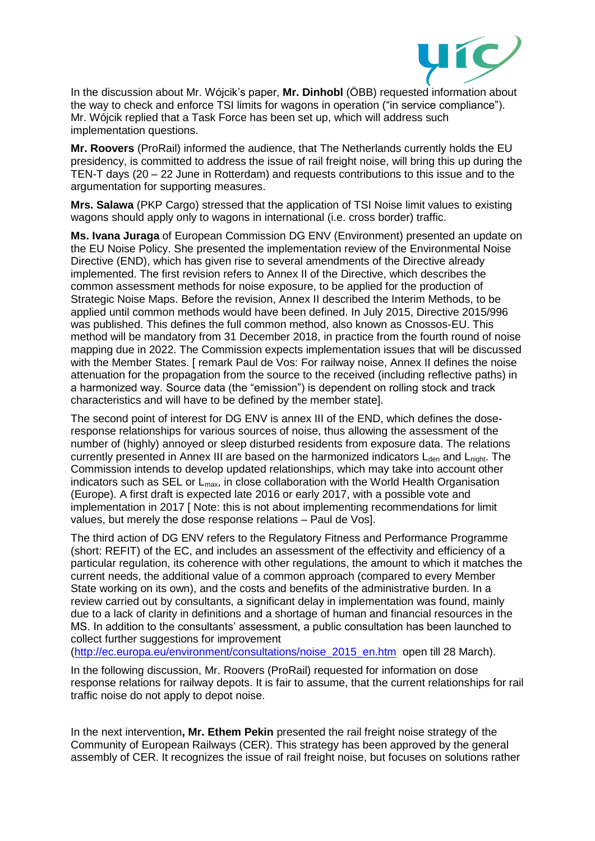

In the discussion about Mr. Wójcik's paper, **Mr. Dinhobl** (ÖBB) requested information about the way to check and enforce TSI limits for wagons in operation ("in service compliance"). Mr. Wójcik replied that a Task Force has been set up, which will address such implementation questions.

**Mr. Roovers** (ProRail) informed the audience, that The Netherlands currently holds the EU presidency, is committed to address the issue of rail freight noise, will bring this up during the TEN-T days (20 – 22 June in Rotterdam) and requests contributions to this issue and to the argumentation for supporting measures.

**Mrs. Salawa** (PKP Cargo) stressed that the application of TSI Noise limit values to existing wagons should apply only to wagons in international (i.e. cross border) traffic.

**Ms. Ivana Juraga** of European Commission DG ENV (Environment) presented an update on the EU Noise Policy. She presented the implementation review of the Environmental Noise Directive (END), which has given rise to several amendments of the Directive already implemented. The first revision refers to Annex II of the Directive, which describes the common assessment methods for noise exposure, to be applied for the production of Strategic Noise Maps. Before the revision, Annex II described the Interim Methods, to be applied until common methods would have been defined. In July 2015, Directive 2015/996 was published. This defines the full common method, also known as Cnossos-EU. This method will be mandatory from 31 December 2018, in practice from the fourth round of noise mapping due in 2022. The Commission expects implementation issues that will be discussed with the Member States. [ remark Paul de Vos: For railway noise, Annex II defines the noise attenuation for the propagation from the source to the received (including reflective paths) in a harmonized way. Source data (the "emission") is dependent on rolling stock and track characteristics and will have to be defined by the member state].

The second point of interest for DG ENV is annex III of the END, which defines the doseresponse relationships for various sources of noise, thus allowing the assessment of the number of (highly) annoyed or sleep disturbed residents from exposure data. The relations currently presented in Annex III are based on the harmonized indicators  $L_{den}$  and  $L_{nicht}$ . The Commission intends to develop updated relationships, which may take into account other indicators such as SEL or L<sub>max</sub>, in close collaboration with the World Health Organisation (Europe). A first draft is expected late 2016 or early 2017, with a possible vote and implementation in 2017 [ Note: this is not about implementing recommendations for limit values, but merely the dose response relations – Paul de Vos].

The third action of DG ENV refers to the Regulatory Fitness and Performance Programme (short: REFIT) of the EC, and includes an assessment of the effectivity and efficiency of a particular regulation, its coherence with other regulations, the amount to which it matches the current needs, the additional value of a common approach (compared to every Member State working on its own), and the costs and benefits of the administrative burden. In a review carried out by consultants, a significant delay in implementation was found, mainly due to a lack of clarity in definitions and a shortage of human and financial resources in the MS. In addition to the consultants' assessment, a public consultation has been launched to collect further suggestions for improvement

[\(http://ec.europa.eu/environment/consultations/noise\\_2015\\_en.htm](http://ec.europa.eu/environment/consultations/noise_2015_en.htm) open till 28 March).

In the following discussion, Mr. Roovers (ProRail) requested for information on dose response relations for railway depots. It is fair to assume, that the current relationships for rail traffic noise do not apply to depot noise.

In the next intervention**, Mr. Ethem Pekin** presented the rail freight noise strategy of the Community of European Railways (CER). This strategy has been approved by the general assembly of CER. It recognizes the issue of rail freight noise, but focuses on solutions rather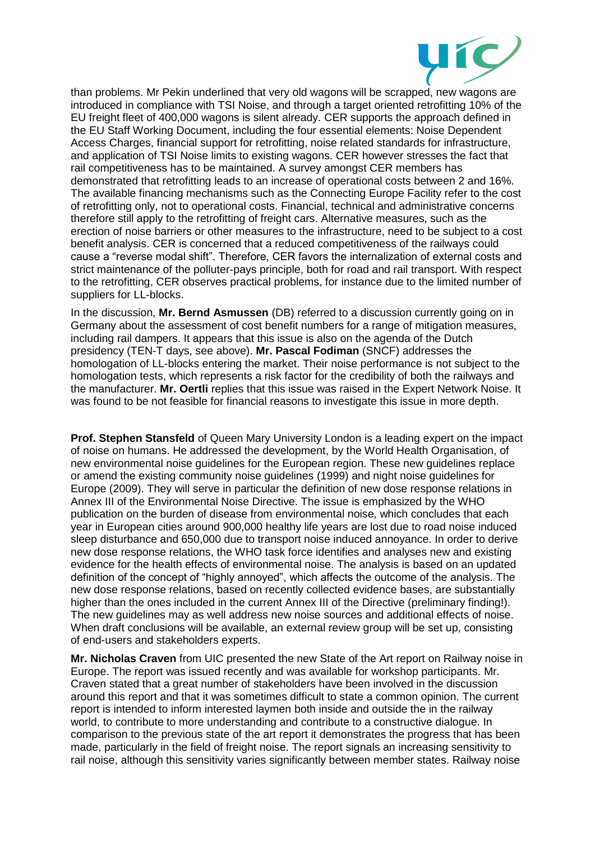

than problems. Mr Pekin underlined that very old wagons will be scrapped, new wagons are introduced in compliance with TSI Noise, and through a target oriented retrofitting 10% of the EU freight fleet of 400,000 wagons is silent already. CER supports the approach defined in the EU Staff Working Document, including the four essential elements: Noise Dependent Access Charges, financial support for retrofitting, noise related standards for infrastructure, and application of TSI Noise limits to existing wagons. CER however stresses the fact that rail competitiveness has to be maintained. A survey amongst CER members has demonstrated that retrofitting leads to an increase of operational costs between 2 and 16%. The available financing mechanisms such as the Connecting Europe Facility refer to the cost of retrofitting only, not to operational costs. Financial, technical and administrative concerns therefore still apply to the retrofitting of freight cars. Alternative measures, such as the erection of noise barriers or other measures to the infrastructure, need to be subject to a cost benefit analysis. CER is concerned that a reduced competitiveness of the railways could cause a "reverse modal shift". Therefore, CER favors the internalization of external costs and strict maintenance of the polluter-pays principle, both for road and rail transport. With respect to the retrofitting, CER observes practical problems, for instance due to the limited number of suppliers for LL-blocks.

In the discussion, **Mr. Bernd Asmussen** (DB) referred to a discussion currently going on in Germany about the assessment of cost benefit numbers for a range of mitigation measures, including rail dampers. It appears that this issue is also on the agenda of the Dutch presidency (TEN-T days, see above). **Mr. Pascal Fodiman** (SNCF) addresses the homologation of LL-blocks entering the market. Their noise performance is not subject to the homologation tests, which represents a risk factor for the credibility of both the railways and the manufacturer. **Mr. Oertli** replies that this issue was raised in the Expert Network Noise. It was found to be not feasible for financial reasons to investigate this issue in more depth.

**Prof. Stephen Stansfeld** of Queen Mary University London is a leading expert on the impact of noise on humans. He addressed the development, by the World Health Organisation, of new environmental noise guidelines for the European region. These new guidelines replace or amend the existing community noise guidelines (1999) and night noise guidelines for Europe (2009). They will serve in particular the definition of new dose response relations in Annex III of the Environmental Noise Directive. The issue is emphasized by the WHO publication on the burden of disease from environmental noise, which concludes that each year in European cities around 900,000 healthy life years are lost due to road noise induced sleep disturbance and 650,000 due to transport noise induced annoyance. In order to derive new dose response relations, the WHO task force identifies and analyses new and existing evidence for the health effects of environmental noise. The analysis is based on an updated definition of the concept of "highly annoyed", which affects the outcome of the analysis. The new dose response relations, based on recently collected evidence bases, are substantially higher than the ones included in the current Annex III of the Directive (preliminary finding!). The new guidelines may as well address new noise sources and additional effects of noise. When draft conclusions will be available, an external review group will be set up, consisting of end-users and stakeholders experts.

**Mr. Nicholas Craven** from UIC presented the new State of the Art report on Railway noise in Europe. The report was issued recently and was available for workshop participants. Mr. Craven stated that a great number of stakeholders have been involved in the discussion around this report and that it was sometimes difficult to state a common opinion. The current report is intended to inform interested laymen both inside and outside the in the railway world, to contribute to more understanding and contribute to a constructive dialogue. In comparison to the previous state of the art report it demonstrates the progress that has been made, particularly in the field of freight noise. The report signals an increasing sensitivity to rail noise, although this sensitivity varies significantly between member states. Railway noise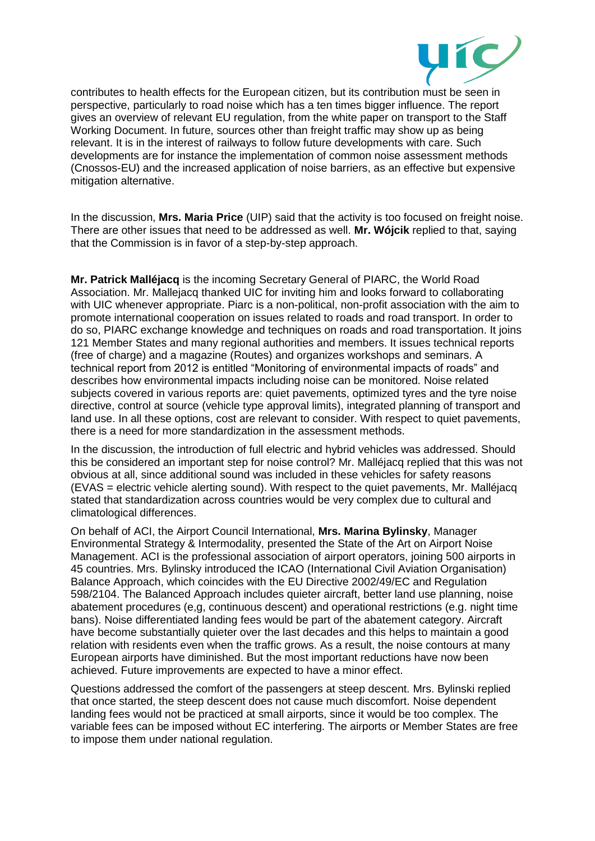

contributes to health effects for the European citizen, but its contribution must be seen in perspective, particularly to road noise which has a ten times bigger influence. The report gives an overview of relevant EU regulation, from the white paper on transport to the Staff Working Document. In future, sources other than freight traffic may show up as being relevant. It is in the interest of railways to follow future developments with care. Such developments are for instance the implementation of common noise assessment methods (Cnossos-EU) and the increased application of noise barriers, as an effective but expensive mitigation alternative.

In the discussion, **Mrs. Maria Price** (UIP) said that the activity is too focused on freight noise. There are other issues that need to be addressed as well. **Mr. Wójcik** replied to that, saying that the Commission is in favor of a step-by-step approach.

**Mr. Patrick Malléjacq** is the incoming Secretary General of PIARC, the World Road Association. Mr. Mallejacq thanked UIC for inviting him and looks forward to collaborating with UIC whenever appropriate. Piarc is a non-political, non-profit association with the aim to promote international cooperation on issues related to roads and road transport. In order to do so, PIARC exchange knowledge and techniques on roads and road transportation. It joins 121 Member States and many regional authorities and members. It issues technical reports (free of charge) and a magazine (Routes) and organizes workshops and seminars. A technical report from 2012 is entitled "Monitoring of environmental impacts of roads" and describes how environmental impacts including noise can be monitored. Noise related subjects covered in various reports are: quiet pavements, optimized tyres and the tyre noise directive, control at source (vehicle type approval limits), integrated planning of transport and land use. In all these options, cost are relevant to consider. With respect to quiet pavements, there is a need for more standardization in the assessment methods.

In the discussion, the introduction of full electric and hybrid vehicles was addressed. Should this be considered an important step for noise control? Mr. Malléjacq replied that this was not obvious at all, since additional sound was included in these vehicles for safety reasons  $EVAS =$  electric vehicle alerting sound). With respect to the quiet pavements, Mr. Malléjacq stated that standardization across countries would be very complex due to cultural and climatological differences.

On behalf of ACI, the Airport Council International, **Mrs. Marina Bylinsky**, Manager Environmental Strategy & Intermodality, presented the State of the Art on Airport Noise Management. ACI is the professional association of airport operators, joining 500 airports in 45 countries. Mrs. Bylinsky introduced the ICAO (International Civil Aviation Organisation) Balance Approach, which coincides with the EU Directive 2002/49/EC and Regulation 598/2104. The Balanced Approach includes quieter aircraft, better land use planning, noise abatement procedures (e,g, continuous descent) and operational restrictions (e.g. night time bans). Noise differentiated landing fees would be part of the abatement category. Aircraft have become substantially quieter over the last decades and this helps to maintain a good relation with residents even when the traffic grows. As a result, the noise contours at many European airports have diminished. But the most important reductions have now been achieved. Future improvements are expected to have a minor effect.

Questions addressed the comfort of the passengers at steep descent. Mrs. Bylinski replied that once started, the steep descent does not cause much discomfort. Noise dependent landing fees would not be practiced at small airports, since it would be too complex. The variable fees can be imposed without EC interfering. The airports or Member States are free to impose them under national regulation.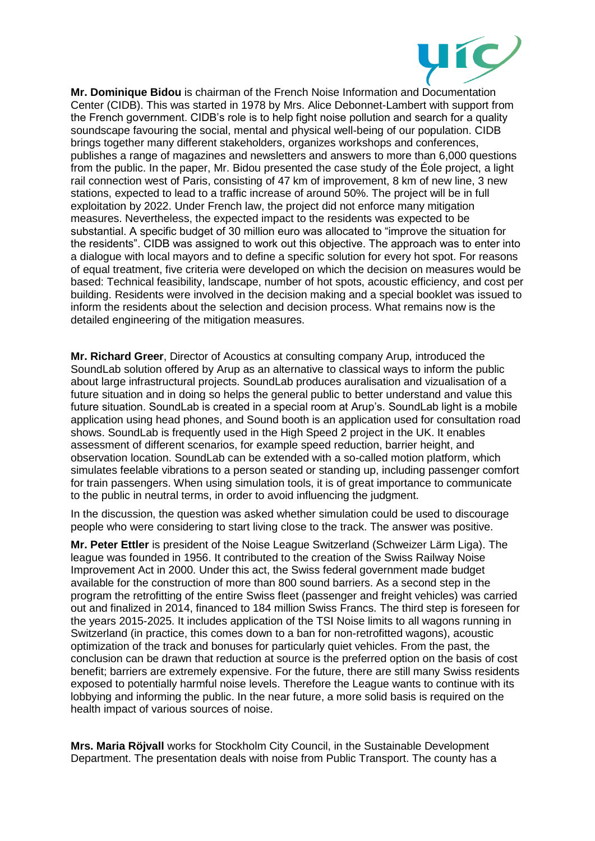

**Mr. Dominique Bidou** is chairman of the French Noise Information and Documentation Center (CIDB). This was started in 1978 by Mrs. Alice Debonnet-Lambert with support from the French government. CIDB's role is to help fight noise pollution and search for a quality soundscape favouring the social, mental and physical well-being of our population. CIDB brings together many different stakeholders, organizes workshops and conferences, publishes a range of magazines and newsletters and answers to more than 6,000 questions from the public. In the paper, Mr. Bidou presented the case study of the Éole project, a light rail connection west of Paris, consisting of 47 km of improvement, 8 km of new line, 3 new stations, expected to lead to a traffic increase of around 50%. The project will be in full exploitation by 2022. Under French law, the project did not enforce many mitigation measures. Nevertheless, the expected impact to the residents was expected to be substantial. A specific budget of 30 million euro was allocated to "improve the situation for the residents". CIDB was assigned to work out this objective. The approach was to enter into a dialogue with local mayors and to define a specific solution for every hot spot. For reasons of equal treatment, five criteria were developed on which the decision on measures would be based: Technical feasibility, landscape, number of hot spots, acoustic efficiency, and cost per building. Residents were involved in the decision making and a special booklet was issued to inform the residents about the selection and decision process. What remains now is the detailed engineering of the mitigation measures.

**Mr. Richard Greer**, Director of Acoustics at consulting company Arup, introduced the SoundLab solution offered by Arup as an alternative to classical ways to inform the public about large infrastructural projects. SoundLab produces auralisation and vizualisation of a future situation and in doing so helps the general public to better understand and value this future situation. SoundLab is created in a special room at Arup's. SoundLab light is a mobile application using head phones, and Sound booth is an application used for consultation road shows. SoundLab is frequently used in the High Speed 2 project in the UK. It enables assessment of different scenarios, for example speed reduction, barrier height, and observation location. SoundLab can be extended with a so-called motion platform, which simulates feelable vibrations to a person seated or standing up, including passenger comfort for train passengers. When using simulation tools, it is of great importance to communicate to the public in neutral terms, in order to avoid influencing the judgment.

In the discussion, the question was asked whether simulation could be used to discourage people who were considering to start living close to the track. The answer was positive.

**Mr. Peter Ettler** is president of the Noise League Switzerland (Schweizer Lärm Liga). The league was founded in 1956. It contributed to the creation of the Swiss Railway Noise Improvement Act in 2000. Under this act, the Swiss federal government made budget available for the construction of more than 800 sound barriers. As a second step in the program the retrofitting of the entire Swiss fleet (passenger and freight vehicles) was carried out and finalized in 2014, financed to 184 million Swiss Francs. The third step is foreseen for the years 2015-2025. It includes application of the TSI Noise limits to all wagons running in Switzerland (in practice, this comes down to a ban for non-retrofitted wagons), acoustic optimization of the track and bonuses for particularly quiet vehicles. From the past, the conclusion can be drawn that reduction at source is the preferred option on the basis of cost benefit; barriers are extremely expensive. For the future, there are still many Swiss residents exposed to potentially harmful noise levels. Therefore the League wants to continue with its lobbying and informing the public. In the near future, a more solid basis is required on the health impact of various sources of noise.

**Mrs. Maria Röjvall** works for Stockholm City Council, in the Sustainable Development Department. The presentation deals with noise from Public Transport. The county has a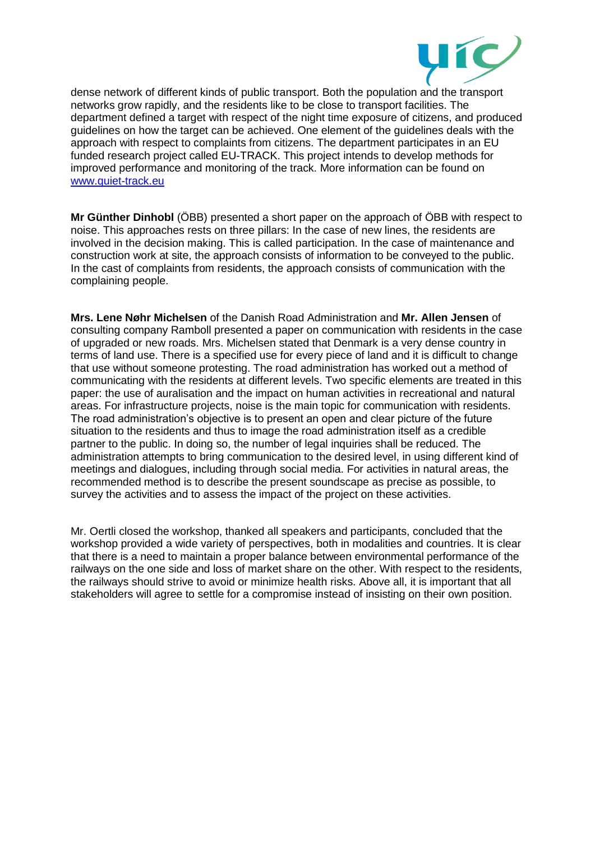

dense network of different kinds of public transport. Both the population and the transport networks grow rapidly, and the residents like to be close to transport facilities. The department defined a target with respect of the night time exposure of citizens, and produced guidelines on how the target can be achieved. One element of the guidelines deals with the approach with respect to complaints from citizens. The department participates in an EU funded research project called EU-TRACK. This project intends to develop methods for improved performance and monitoring of the track. More information can be found on [www.quiet-track.eu](http://www.quiet-track.eu/)

**Mr Günther Dinhobl** (ÖBB) presented a short paper on the approach of ÖBB with respect to noise. This approaches rests on three pillars: In the case of new lines, the residents are involved in the decision making. This is called participation. In the case of maintenance and construction work at site, the approach consists of information to be conveyed to the public. In the cast of complaints from residents, the approach consists of communication with the complaining people.

**Mrs. Lene Nøhr Michelsen** of the Danish Road Administration and **Mr. Allen Jensen** of consulting company Ramboll presented a paper on communication with residents in the case of upgraded or new roads. Mrs. Michelsen stated that Denmark is a very dense country in terms of land use. There is a specified use for every piece of land and it is difficult to change that use without someone protesting. The road administration has worked out a method of communicating with the residents at different levels. Two specific elements are treated in this paper: the use of auralisation and the impact on human activities in recreational and natural areas. For infrastructure projects, noise is the main topic for communication with residents. The road administration's objective is to present an open and clear picture of the future situation to the residents and thus to image the road administration itself as a credible partner to the public. In doing so, the number of legal inquiries shall be reduced. The administration attempts to bring communication to the desired level, in using different kind of meetings and dialogues, including through social media. For activities in natural areas, the recommended method is to describe the present soundscape as precise as possible, to survey the activities and to assess the impact of the project on these activities.

Mr. Oertli closed the workshop, thanked all speakers and participants, concluded that the workshop provided a wide variety of perspectives, both in modalities and countries. It is clear that there is a need to maintain a proper balance between environmental performance of the railways on the one side and loss of market share on the other. With respect to the residents, the railways should strive to avoid or minimize health risks. Above all, it is important that all stakeholders will agree to settle for a compromise instead of insisting on their own position.